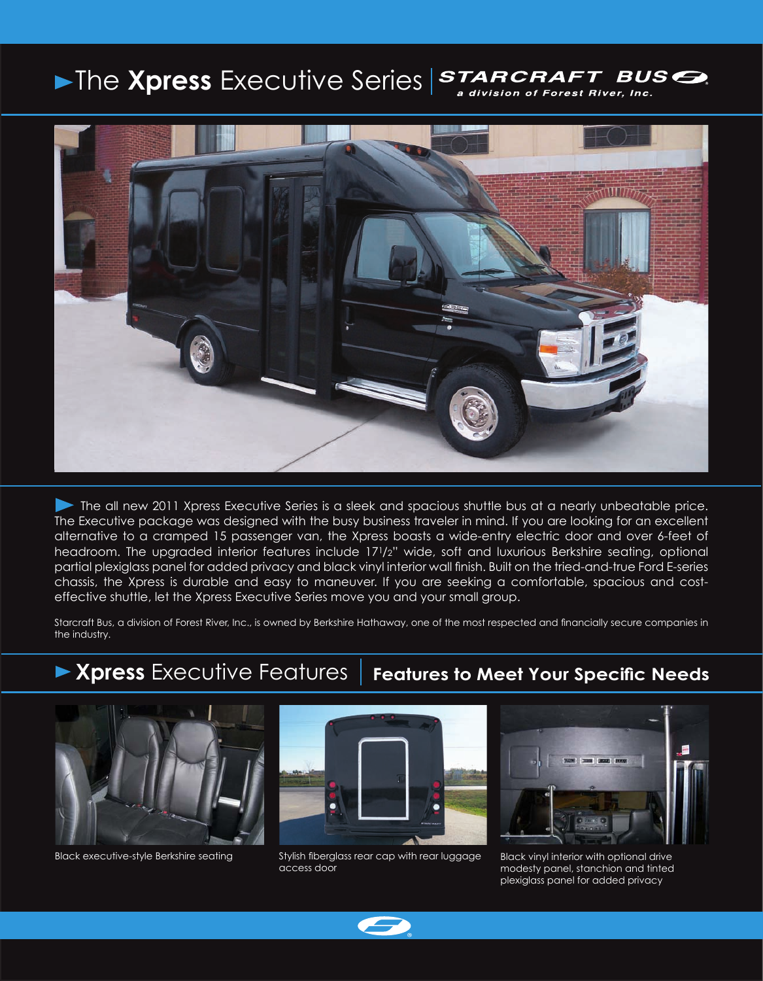## The **Xpress** Executive Series **STARCRAFT** BUS<sup></sup> a division of Forest River, Inc.



 The all new 2011 Xpress Executive Series is a sleek and spacious shuttle bus at a nearly unbeatable price. The Executive package was designed with the busy business traveler in mind. If you are looking for an excellent alternative to a cramped 15 passenger van, the Xpress boasts a wide-entry electric door and over 6-feet of headroom. The upgraded interior features include 171/2" wide, soft and luxurious Berkshire seating, optional partial plexiglass panel for added privacy and black vinyl interior wall finish. Built on the tried-and-true Ford E-series chassis, the Xpress is durable and easy to maneuver. If you are seeking a comfortable, spacious and costeffective shuttle, let the Xpress Executive Series move you and your small group.

Starcraft Bus, a division of Forest River, Inc., is owned by Berkshire Hathaway, one of the most respected and financially secure companies in the industry.

## **Xpress** Executive Features **Features to Meet Your Specific Needs**





Black executive-style Berkshire seating examples and stylish fiberglass rear cap with rear luggage Black vinyl interior with optional drive access door



modesty panel, stanchion and tinted plexiglass panel for added privacy